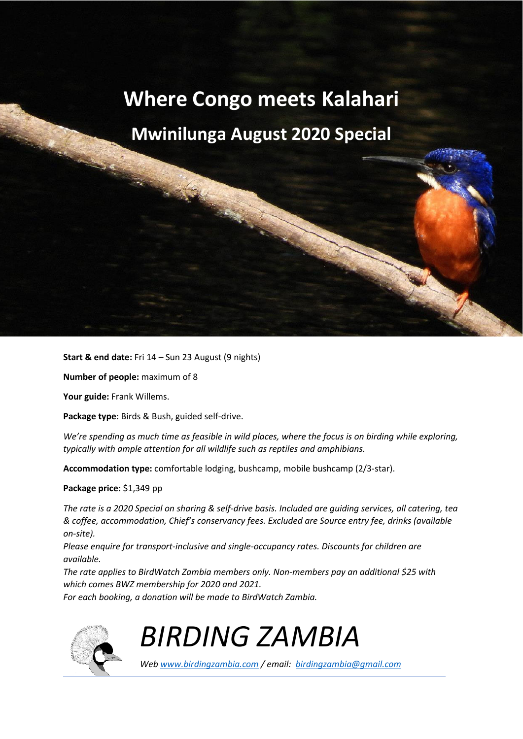# **Where Congo meets Kalahari**

## **Mwinilunga August 2020 Special**

**Start & end date:** Fri 14 – Sun 23 August (9 nights)

**Number of people:** maximum of 8

**Your guide:** Frank Willems.

**Package type**: Birds & Bush, guided self-drive.

*We're spending as much time as feasible in wild places, where the focus is on birding while exploring, typically with ample attention for all wildlife such as reptiles and amphibians.* 

**Accommodation type:** comfortable lodging, bushcamp, mobile bushcamp (2/3-star).

**Package price:** \$1,349 pp

*The rate is a 2020 Special on sharing & self-drive basis. Included are guiding services, all catering, tea & coffee, accommodation, Chief's conservancy fees. Excluded are Source entry fee, drinks (available on-site).* 

*Please enquire for transport-inclusive and single-occupancy rates. Discounts for children are available.* 

*The rate applies to BirdWatch Zambia members only. Non-members pay an additional \$25 with which comes BWZ membership for 2020 and 2021.* 

*For each booking, a donation will be made to BirdWatch Zambia.* 



*BIRDING ZAMBIA*

*Web www.birdingzambia.com / email: birdingzambia@gmail.com*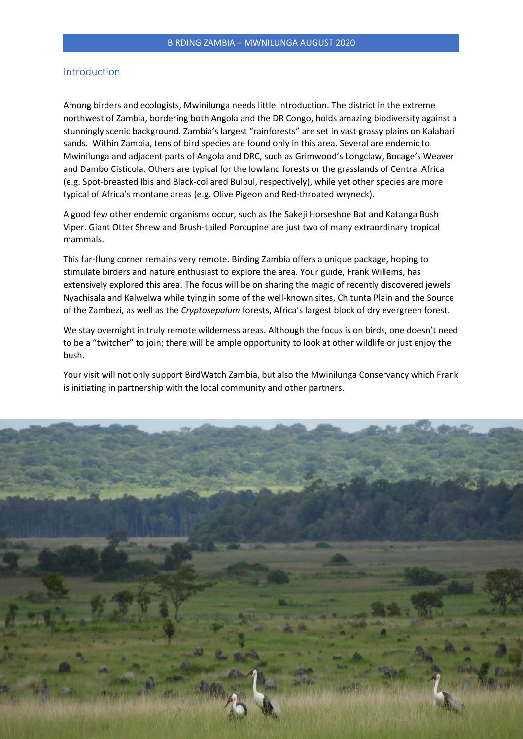## Introduction

Among birders and ecologists, Mwinilunga needs little introduction. The district in the extreme northwest of Zambia, bordering both Angola and the DR Congo, holds amazing biodiversity against a stunningly scenic background. Zambia's largest "rainforests" are set in vast grassy plains on Kalahari sands. Within Zambia, tens of bird species are found only in this area. Several are endemic to Mwinilunga and adjacent parts of Angola and DRC, such as Grimwood's Longclaw, Bocage's Weaver and Dambo Cisticola. Others are typical for the lowland forests or the grasslands of Central Africa (e.g. Spot-breasted Ibis and Black-collared Bulbul, respectively), while yet other species are more typical of Africa's montane areas (e.g. Olive Pigeon and Red-throated wryneck).

A good few other endemic organisms occur, such as the Sakeji Horseshoe Bat and Katanga Bush Viper. Giant Otter Shrew and Brush-tailed Porcupine are just two of many extraordinary tropical mammals.

This far-flung corner remains very remote. Birding Zambia offers a unique package, hoping to stimulate birders and nature enthusiast to explore the area. Your guide, Frank Willems, has extensively explored this area. The focus will be on sharing the magic of recently discovered jewels Nyachisala and Kalwelwa while tying in some of the well-known sites, Chitunta Plain and the Source of the Zambezi, as well as the *Cryptosepalum* forests, Africa's largest block of dry evergreen forest.

We stay overnight in truly remote wilderness areas. Although the focus is on birds, one doesn't need to be a "twitcher" to join; there will be ample opportunity to look at other wildlife or just enjoy the bush.

Your visit will not only support BirdWatch Zambia, but also the Mwinilunga Conservancy which Frank is initiating in partnership with the local community and other partners.

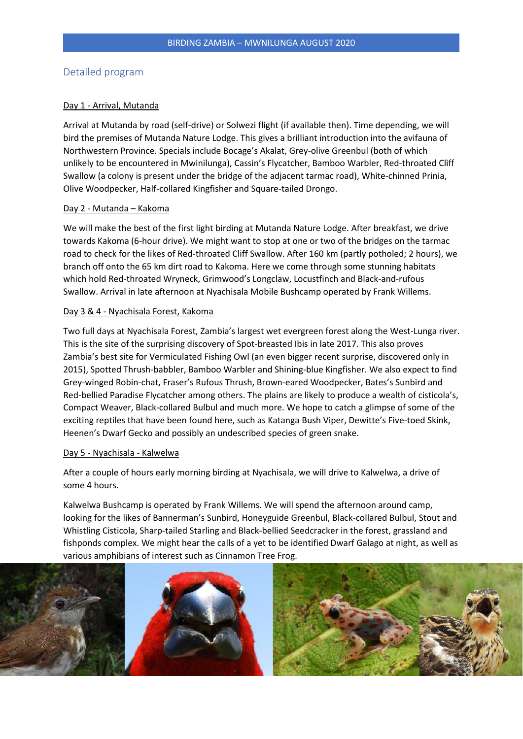## Detailed program

#### Day 1 - Arrival, Mutanda

Arrival at Mutanda by road (self-drive) or Solwezi flight (if available then). Time depending, we will bird the premises of Mutanda Nature Lodge. This gives a brilliant introduction into the avifauna of Northwestern Province. Specials include Bocage's Akalat, Grey-olive Greenbul (both of which unlikely to be encountered in Mwinilunga), Cassin's Flycatcher, Bamboo Warbler, Red-throated Cliff Swallow (a colony is present under the bridge of the adjacent tarmac road), White-chinned Prinia, Olive Woodpecker, Half-collared Kingfisher and Square-tailed Drongo.

#### Day 2 - Mutanda – Kakoma

We will make the best of the first light birding at Mutanda Nature Lodge. After breakfast, we drive towards Kakoma (6-hour drive). We might want to stop at one or two of the bridges on the tarmac road to check for the likes of Red-throated Cliff Swallow. After 160 km (partly potholed; 2 hours), we branch off onto the 65 km dirt road to Kakoma. Here we come through some stunning habitats which hold Red-throated Wryneck, Grimwood's Longclaw, Locustfinch and Black-and-rufous Swallow. Arrival in late afternoon at Nyachisala Mobile Bushcamp operated by Frank Willems.

#### Day 3 & 4 - Nyachisala Forest, Kakoma

Two full days at Nyachisala Forest, Zambia's largest wet evergreen forest along the West-Lunga river. This is the site of the surprising discovery of Spot-breasted Ibis in late 2017. This also proves Zambia's best site for Vermiculated Fishing Owl (an even bigger recent surprise, discovered only in 2015), Spotted Thrush-babbler, Bamboo Warbler and Shining-blue Kingfisher. We also expect to find Grey-winged Robin-chat, Fraser's Rufous Thrush, Brown-eared Woodpecker, Bates's Sunbird and Red-bellied Paradise Flycatcher among others. The plains are likely to produce a wealth of cisticola's, Compact Weaver, Black-collared Bulbul and much more. We hope to catch a glimpse of some of the exciting reptiles that have been found here, such as Katanga Bush Viper, Dewitte's Five-toed Skink, Heenen's Dwarf Gecko and possibly an undescribed species of green snake.

#### Day 5 - Nyachisala - Kalwelwa

After a couple of hours early morning birding at Nyachisala, we will drive to Kalwelwa, a drive of some 4 hours.

Kalwelwa Bushcamp is operated by Frank Willems. We will spend the afternoon around camp, looking for the likes of Bannerman's Sunbird, Honeyguide Greenbul, Black-collared Bulbul, Stout and Whistling Cisticola, Sharp-tailed Starling and Black-bellied Seedcracker in the forest, grassland and fishponds complex. We might hear the calls of a yet to be identified Dwarf Galago at night, as well as various amphibians of interest such as Cinnamon Tree Frog.

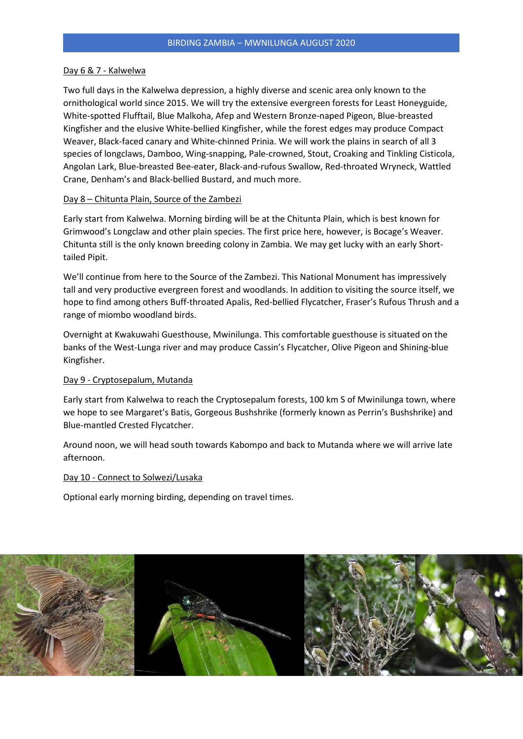#### Day 6 & 7 - Kalwelwa

Two full days in the Kalwelwa depression, a highly diverse and scenic area only known to the ornithological world since 2015. We will try the extensive evergreen forests for Least Honeyguide, White-spotted Flufftail, Blue Malkoha, Afep and Western Bronze-naped Pigeon, Blue-breasted Kingfisher and the elusive White-bellied Kingfisher, while the forest edges may produce Compact Weaver, Black-faced canary and White-chinned Prinia. We will work the plains in search of all 3 species of longclaws, Damboo, Wing-snapping, Pale-crowned, Stout, Croaking and Tinkling Cisticola, Angolan Lark, Blue-breasted Bee-eater, Black-and-rufous Swallow, Red-throated Wryneck, Wattled Crane, Denham's and Black-bellied Bustard, and much more.

#### Day 8 – Chitunta Plain, Source of the Zambezi

Early start from Kalwelwa. Morning birding will be at the Chitunta Plain, which is best known for Grimwood's Longclaw and other plain species. The first price here, however, is Bocage's Weaver. Chitunta still is the only known breeding colony in Zambia. We may get lucky with an early Shorttailed Pipit.

We'll continue from here to the Source of the Zambezi. This National Monument has impressively tall and very productive evergreen forest and woodlands. In addition to visiting the source itself, we hope to find among others Buff-throated Apalis, Red-bellied Flycatcher, Fraser's Rufous Thrush and a range of miombo woodland birds.

Overnight at Kwakuwahi Guesthouse, Mwinilunga. This comfortable guesthouse is situated on the banks of the West-Lunga river and may produce Cassin's Flycatcher, Olive Pigeon and Shining-blue Kingfisher.

#### Day 9 - Cryptosepalum, Mutanda

Early start from Kalwelwa to reach the Cryptosepalum forests, 100 km S of Mwinilunga town, where we hope to see Margaret's Batis, Gorgeous Bushshrike (formerly known as Perrin's Bushshrike) and Blue-mantled Crested Flycatcher.

Around noon, we will head south towards Kabompo and back to Mutanda where we will arrive late afternoon.

#### Day 10 - Connect to Solwezi/Lusaka

Optional early morning birding, depending on travel times.